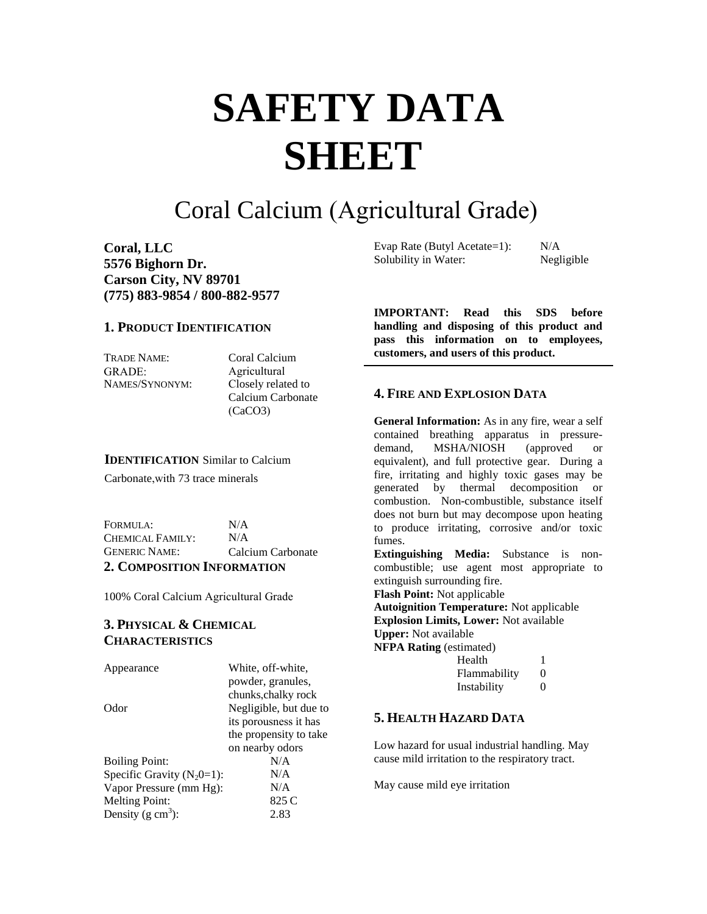# **SAFETY DATA SHEET**

# Coral Calcium (Agricultural Grade)

**Coral, LLC 5576 Bighorn Dr. Carson City, NV 89701 (775) 883-9854 / 800-882-9577** 

#### **1. PRODUCT IDENTIFICATION**

TRADE NAME: GRADE: NAMES/SYNONYM: Coral Calcium Agricultural Closely related to Calcium Carbonate (CaCO3)

#### **IDENTIFICATION** Similar to Calcium

Carbonate,with 73 trace minerals

FORMULA: CHEMICAL FAMILY: GENERIC NAME:  $N/A$  $N/A$ Calcium Carbonate **2. COMPOSITION INFORMATION**

100% Coral Calcium Agricultural Grade

# **3. PHYSICAL & CHEMICAL CHARACTERISTICS**

| Appearance                    | White, off-white,      |
|-------------------------------|------------------------|
|                               | powder, granules,      |
|                               | chunks, chalky rock    |
| Odor                          | Negligible, but due to |
|                               | its porousness it has  |
|                               | the propensity to take |
|                               | on nearby odors        |
| <b>Boiling Point:</b>         | N/A                    |
| Specific Gravity $(N_20=1)$ : | N/A                    |
| Vapor Pressure (mm Hg):       | N/A                    |
| <b>Melting Point:</b>         | 825 C                  |
| Density (g $cm3$ ):           | 2.83                   |
|                               |                        |

Evap Rate (Butyl Acetate=1):  $N/A$ <br>Solubility in Water: Negligible Solubility in Water:

**IMPORTANT: Read this SDS before handling and disposing of this product and pass this information on to employees, customers, and users of this product.**

# **4. FIRE AND EXPLOSION DATA**

**General Information:** As in any fire, wear a self contained breathing apparatus in pressuredemand, MSHA/NIOSH (approved or equivalent), and full protective gear. During a fire, irritating and highly toxic gases may be generated by thermal decomposition or combustion. Non-combustible, substance itself does not burn but may decompose upon heating to produce irritating, corrosive and/or toxic fumes.

**Extinguishing Media:** Substance is noncombustible; use agent most appropriate to extinguish surrounding fire.

**Flash Point:** Not applicable

**Autoignition Temperature:** Not applicable **Explosion Limits, Lower:** Not available **Upper:** Not available **NFPA Rating (estimated)** 

| Health       |                   |
|--------------|-------------------|
| Flammability | $\mathbf{\Omega}$ |
| Instability  | $\mathbf{\Omega}$ |

# **5. HEALTH HAZARD DATA**

Low hazard for usual industrial handling. May cause mild irritation to the respiratory tract.

May cause mild eye irritation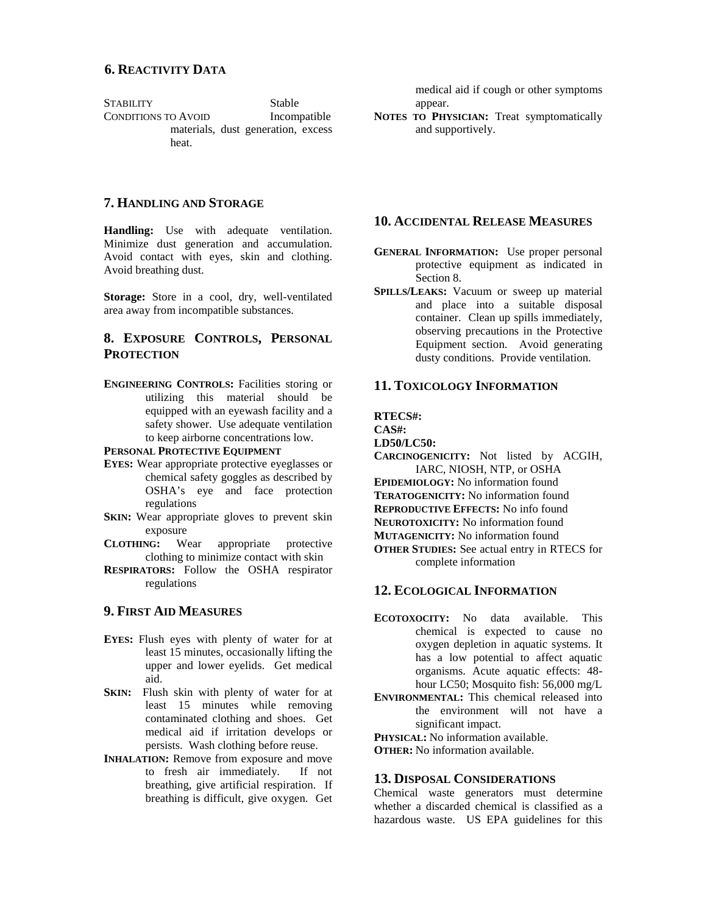STABILITY Stable CONDITIONS TO AVOID Incompatible materials, dust generation, excess heat.

medical aid if cough or other symptoms appear.

**NOTES TO PHYSICIAN:** Treat symptomatically and supportively.

# **7. HANDLING AND STORAGE**

**Handling:** Use with adequate ventilation. Minimize dust generation and accumulation. Avoid contact with eyes, skin and clothing. Avoid breathing dust.

**Storage:** Store in a cool, dry, well-ventilated area away from incompatible substances.

# **8. EXPOSURE CONTROLS, PERSONAL PROTECTION**

**ENGINEERING CONTROLS:** Facilities storing or utilizing this material should be equipped with an eyewash facility and a safety shower. Use adequate ventilation to keep airborne concentrations low.

**PERSONAL PROTECTIVE EQUIPMENT**

- **EYES:** Wear appropriate protective eyeglasses or chemical safety goggles as described by OSHA's eye and face protection regulations
- **SKIN:** Wear appropriate gloves to prevent skin exposure
- **CLOTHING:** Wear appropriate protective clothing to minimize contact with skin
- **RESPIRATORS:** Follow the OSHA respirator regulations

# **9. FIRST AID MEASURES**

- **EYES:** Flush eyes with plenty of water for at least 15 minutes, occasionally lifting the upper and lower eyelids. Get medical aid.
- **SKIN:** Flush skin with plenty of water for at least 15 minutes while removing contaminated clothing and shoes. Get medical aid if irritation develops or persists. Wash clothing before reuse.
- **INHALATION:** Remove from exposure and move to fresh air immediately. If not breathing, give artificial respiration. If breathing is difficult, give oxygen. Get

## **10. ACCIDENTAL RELEASE MEASURES**

- **GENERAL INFORMATION:** Use proper personal protective equipment as indicated in Section 8.
- **SPILLS/LEAKS:** Vacuum or sweep up material and place into a suitable disposal container. Clean up spills immediately, observing precautions in the Protective Equipment section. Avoid generating dusty conditions. Provide ventilation.

#### **11. TOXICOLOGY INFORMATION**

**RTECS#:**

**CAS#:**

**LD50/LC50:**

**CARCINOGENICITY:** Not listed by ACGIH, IARC, NIOSH, NTP, or OSHA

**EPIDEMIOLOGY:** No information found

**TERATOGENICITY:** No information found

**REPRODUCTIVE EFFECTS:** No info found

**NEUROTOXICITY:** No information found

**MUTAGENICITY:** No information found

**OTHER STUDIES:** See actual entry in RTECS for complete information

# **12. ECOLOGICAL INFORMATION**

- **ECOTOXOCITY:** No data available. This chemical is expected to cause no oxygen depletion in aquatic systems. It has a low potential to affect aquatic organisms. Acute aquatic effects: 48 hour LC50; Mosquito fish: 56,000 mg/L
- **ENVIRONMENTAL:** This chemical released into the environment will not have a significant impact.

**PHYSICAL:** No information available.

**OTHER:** No information available.

#### **13. DISPOSAL CONSIDERATIONS**

Chemical waste generators must determine whether a discarded chemical is classified as a hazardous waste. US EPA guidelines for this